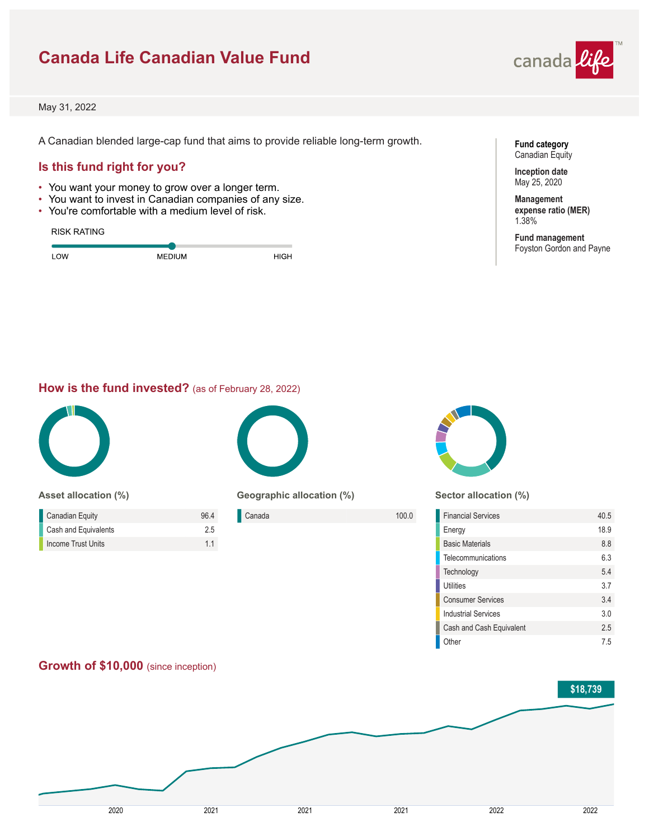# **Canada Life Canadian Value Fund**



May 31, 2022

A Canadian blended large-cap fund that aims to provide reliable long-term growth.

## **Is this fund right for you?**

- You want your money to grow over a longer term.
- You want to invest in Canadian companies of any size.
- You're comfortable with a medium level of risk.

#### RISK RATING

| <b>OW</b> | <b>MEDIUM</b> | HIGH |  |
|-----------|---------------|------|--|
|           |               |      |  |

**Fund category** Canadian Equity

**Inception date** May 25, 2020

**Management expense ratio (MER)** 1.38%

**Fund management** Foyston Gordon and Payne

#### **How is the fund invested?** (as of February 28, 2022)



**Asset allocation (%)**

| <b>Canadian Equity</b> | 964 |
|------------------------|-----|
| Cash and Equivalents   | 25  |
| Income Trust Units     | 11  |



**Geographic allocation (%)**

| Canada | 100.0 |
|--------|-------|
|        |       |
|        |       |



**Sector allocation (%)**

| <b>Financial Services</b>  | 40.5           |
|----------------------------|----------------|
| Energy                     | 18.9           |
| <b>Basic Materials</b>     | 8.8            |
| Telecommunications         | 6.3            |
| Technology                 | 54             |
| Utilities                  | 37             |
| <b>Consumer Services</b>   | 3.4            |
| <b>Industrial Services</b> | 3 <sub>0</sub> |
| Cash and Cash Equivalent   | 2.5            |
| Other                      | 75             |